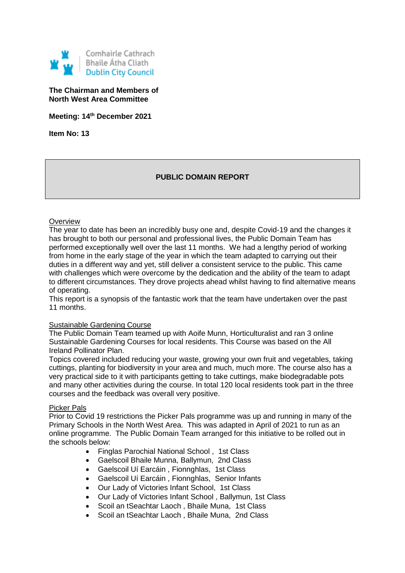

## **The Chairman and Members of North West Area Committee**

**Meeting: 14th December 2021**

**Item No: 13**

# **PUBLIC DOMAIN REPORT**

### **Overview**

The year to date has been an incredibly busy one and, despite Covid-19 and the changes it has brought to both our personal and professional lives, the Public Domain Team has performed exceptionally well over the last 11 months. We had a lengthy period of working from home in the early stage of the year in which the team adapted to carrying out their duties in a different way and yet, still deliver a consistent service to the public. This came with challenges which were overcome by the dedication and the ability of the team to adapt to different circumstances. They drove projects ahead whilst having to find alternative means of operating.

This report is a synopsis of the fantastic work that the team have undertaken over the past 11 months.

#### **Sustainable Gardening Course**

The Public Domain Team teamed up with Aoife Munn, Horticulturalist and ran 3 online Sustainable Gardening Courses for local residents. This Course was based on the All Ireland Pollinator Plan.

Topics covered included reducing your waste, growing your own fruit and vegetables, taking cuttings, planting for biodiversity in your area and much, much more. The course also has a very practical side to it with participants getting to take cuttings, make biodegradable pots and many other activities during the course. In total 120 local residents took part in the three courses and the feedback was overall very positive.

#### Picker Pals

Prior to Covid 19 restrictions the Picker Pals programme was up and running in many of the Primary Schools in the North West Area. This was adapted in April of 2021 to run as an online programme. The Public Domain Team arranged for this initiative to be rolled out in the schools below:

- Finglas Parochial National School , 1st Class
- Gaelscoil Bhaile Munna, Ballymun, 2nd Class
- Gaelscoil Uí Earcáin , Fionnghlas, 1st Class
- Gaelscoil Uí Earcáin , Fionnghlas, Senior Infants
- Our Lady of Victories Infant School, 1st Class
- Our Lady of Victories Infant School , Ballymun, 1st Class
- Scoil an tSeachtar Laoch , Bhaile Muna, 1st Class
- Scoil an tSeachtar Laoch , Bhaile Muna, 2nd Class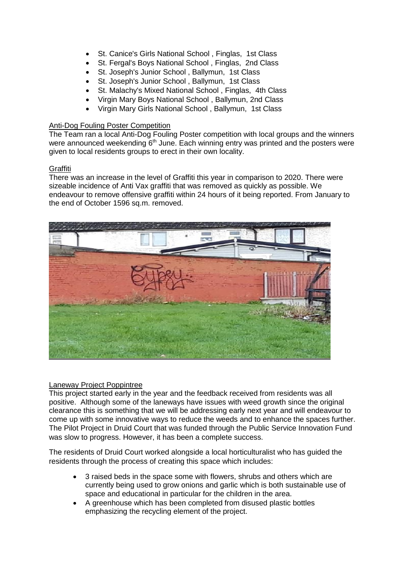- St. Canice's Girls National School , Finglas, 1st Class
- St. Fergal's Boys National School , Finglas, 2nd Class
- St. Joseph's Junior School , Ballymun, 1st Class
- St. Joseph's Junior School , Ballymun, 1st Class
- St. Malachy's Mixed National School , Finglas, 4th Class
- Virgin Mary Boys National School , Ballymun, 2nd Class
- Virgin Mary Girls National School , Ballymun, 1st Class

## Anti-Dog Fouling Poster Competition

The Team ran a local Anti-Dog Fouling Poster competition with local groups and the winners were announced weekending 6<sup>th</sup> June. Each winning entry was printed and the posters were given to local residents groups to erect in their own locality.

## **Graffiti**

There was an increase in the level of Graffiti this year in comparison to 2020. There were sizeable incidence of Anti Vax graffiti that was removed as quickly as possible. We endeavour to remove offensive graffiti within 24 hours of it being reported. From January to the end of October 1596 sq.m. removed.



#### Laneway Project Poppintree

This project started early in the year and the feedback received from residents was all positive. Although some of the laneways have issues with weed growth since the original clearance this is something that we will be addressing early next year and will endeavour to come up with some innovative ways to reduce the weeds and to enhance the spaces further. The Pilot Project in Druid Court that was funded through the Public Service Innovation Fund was slow to progress. However, it has been a complete success.

The residents of Druid Court worked alongside a local horticulturalist who has guided the residents through the process of creating this space which includes:

- 3 raised beds in the space some with flowers, shrubs and others which are currently being used to grow onions and garlic which is both sustainable use of space and educational in particular for the children in the area.
- A greenhouse which has been completed from disused plastic bottles emphasizing the recycling element of the project.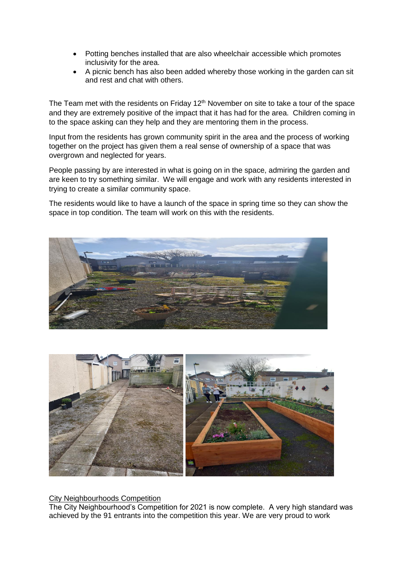- Potting benches installed that are also wheelchair accessible which promotes inclusivity for the area.
- A picnic bench has also been added whereby those working in the garden can sit and rest and chat with others.

The Team met with the residents on Friday 12<sup>th</sup> November on site to take a tour of the space and they are extremely positive of the impact that it has had for the area. Children coming in to the space asking can they help and they are mentoring them in the process.

Input from the residents has grown community spirit in the area and the process of working together on the project has given them a real sense of ownership of a space that was overgrown and neglected for years.

People passing by are interested in what is going on in the space, admiring the garden and are keen to try something similar. We will engage and work with any residents interested in trying to create a similar community space.

The residents would like to have a launch of the space in spring time so they can show the space in top condition. The team will work on this with the residents.





City Neighbourhoods Competition

The City Neighbourhood's Competition for 2021 is now complete. A very high standard was achieved by the 91 entrants into the competition this year. We are very proud to work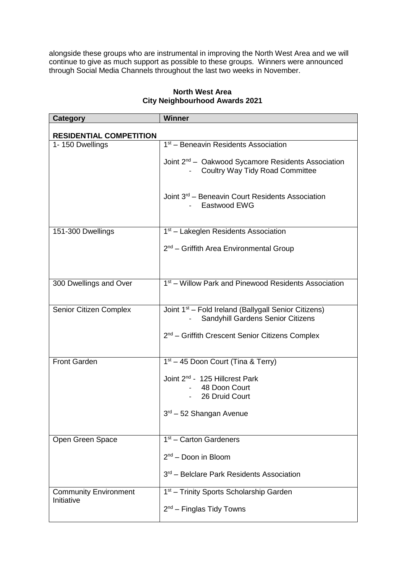alongside these groups who are instrumental in improving the North West Area and we will continue to give as much support as possible to these groups. Winners were announced through Social Media Channels throughout the last two weeks in November.

| <b>Category</b>                            | <b>Winner</b>                                                                                            |
|--------------------------------------------|----------------------------------------------------------------------------------------------------------|
| <b>RESIDENTIAL COMPETITION</b>             |                                                                                                          |
| 1-150 Dwellings                            | 1 <sup>st</sup> – Beneavin Residents Association                                                         |
|                                            | Joint 2 <sup>nd</sup> – Oakwood Sycamore Residents Association<br><b>Coultry Way Tidy Road Committee</b> |
|                                            | Joint 3 <sup>rd</sup> – Beneavin Court Residents Association<br>Eastwood EWG                             |
| 151-300 Dwellings                          | 1 <sup>st</sup> – Lakeglen Residents Association                                                         |
|                                            | 2 <sup>nd</sup> – Griffith Area Environmental Group                                                      |
|                                            |                                                                                                          |
| 300 Dwellings and Over                     | 1 <sup>st</sup> – Willow Park and Pinewood Residents Association                                         |
| Senior Citizen Complex                     | Joint 1 <sup>st</sup> - Fold Ireland (Ballygall Senior Citizens)<br>Sandyhill Gardens Senior Citizens    |
|                                            | 2 <sup>nd</sup> – Griffith Crescent Senior Citizens Complex                                              |
| <b>Front Garden</b>                        | 1 <sup>st</sup> – 45 Doon Court (Tina & Terry)                                                           |
|                                            | Joint 2 <sup>nd</sup> - 125 Hillcrest Park                                                               |
|                                            | 48 Doon Court                                                                                            |
|                                            | 26 Druid Court                                                                                           |
|                                            | $3rd - 52$ Shangan Avenue                                                                                |
|                                            |                                                                                                          |
| Open Green Space                           | $1st$ – Carton Gardeners                                                                                 |
|                                            | 2 <sup>nd</sup> - Doon in Bloom                                                                          |
|                                            | 3rd - Belclare Park Residents Association                                                                |
| <b>Community Environment</b><br>Initiative | 1 <sup>st</sup> - Trinity Sports Scholarship Garden                                                      |
|                                            | $2nd$ – Finglas Tidy Towns                                                                               |

# **North West Area City Neighbourhood Awards 2021**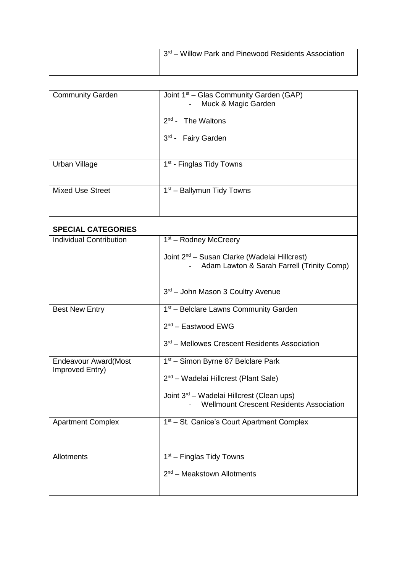| 3rd – Willow Park and Pinewood Residents Association |
|------------------------------------------------------|
|                                                      |

| <b>Community Garden</b>                         | Joint 1 <sup>st</sup> – Glas Community Garden (GAP)<br>Muck & Magic Garden                               |
|-------------------------------------------------|----------------------------------------------------------------------------------------------------------|
|                                                 | $2nd$ - The Waltons                                                                                      |
|                                                 | 3rd - Fairy Garden                                                                                       |
|                                                 |                                                                                                          |
| Urban Village                                   | 1 <sup>st</sup> - Finglas Tidy Towns                                                                     |
| <b>Mixed Use Street</b>                         | 1 <sup>st</sup> – Ballymun Tidy Towns                                                                    |
| <b>SPECIAL CATEGORIES</b>                       |                                                                                                          |
| <b>Individual Contribution</b>                  | $1st$ – Rodney McCreery                                                                                  |
|                                                 | Joint 2 <sup>nd</sup> – Susan Clarke (Wadelai Hillcrest)<br>Adam Lawton & Sarah Farrell (Trinity Comp)   |
|                                                 | 3rd - John Mason 3 Coultry Avenue                                                                        |
| <b>Best New Entry</b>                           | 1 <sup>st</sup> – Belclare Lawns Community Garden                                                        |
|                                                 | $2nd$ – Eastwood EWG                                                                                     |
|                                                 | 3rd - Mellowes Crescent Residents Association                                                            |
| <b>Endeavour Award</b> (Most<br>Improved Entry) | 1 <sup>st</sup> – Simon Byrne 87 Belclare Park                                                           |
|                                                 | 2 <sup>nd</sup> – Wadelai Hillcrest (Plant Sale)                                                         |
|                                                 | Joint 3 <sup>rd</sup> – Wadelai Hillcrest (Clean ups)<br><b>Wellmount Crescent Residents Association</b> |
| <b>Apartment Complex</b>                        | 1 <sup>st</sup> – St. Canice's Court Apartment Complex                                                   |
|                                                 |                                                                                                          |
| Allotments                                      | 1 <sup>st</sup> – Finglas Tidy Towns                                                                     |
|                                                 | $2nd$ – Meakstown Allotments                                                                             |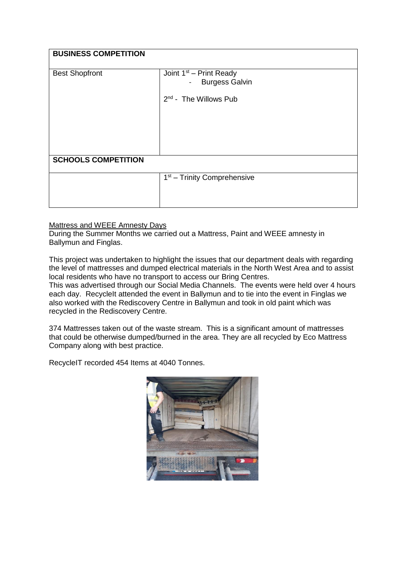| <b>BUSINESS COMPETITION</b> |                                                    |  |
|-----------------------------|----------------------------------------------------|--|
| <b>Best Shopfront</b>       | Joint $1st$ – Print Ready<br><b>Burgess Galvin</b> |  |
|                             | 2 <sup>nd</sup> - The Willows Pub                  |  |
|                             |                                                    |  |
|                             |                                                    |  |
| <b>SCHOOLS COMPETITION</b>  |                                                    |  |
|                             | $1st$ – Trinity Comprehensive                      |  |
|                             |                                                    |  |

# Mattress and WEEE Amnesty Days

During the Summer Months we carried out a Mattress, Paint and WEEE amnesty in Ballymun and Finglas.

This project was undertaken to highlight the issues that our department deals with regarding the level of mattresses and dumped electrical materials in the North West Area and to assist local residents who have no transport to access our Bring Centres.

This was advertised through our Social Media Channels. The events were held over 4 hours each day. RecycleIt attended the event in Ballymun and to tie into the event in Finglas we also worked with the Rediscovery Centre in Ballymun and took in old paint which was recycled in the Rediscovery Centre.

374 Mattresses taken out of the waste stream. This is a significant amount of mattresses that could be otherwise dumped/burned in the area. They are all recycled by Eco Mattress Company along with best practice.

RecycleIT recorded 454 Items at 4040 Tonnes.